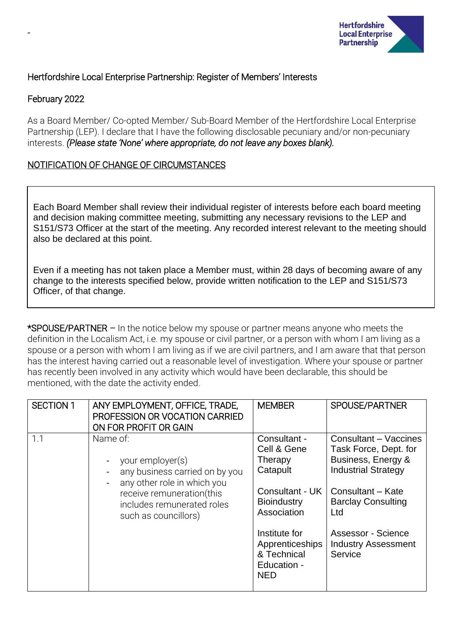

## Hertfordshire Local Enterprise Partnership: Register of Members' Interests

## February 2022

-

As a Board Member/ Co-opted Member/ Sub-Board Member of the Hertfordshire Local Enterprise Partnership (LEP). I declare that I have the following disclosable pecuniary and/or non-pecuniary interests. *(Please state 'None' where appropriate, do not leave any boxes blank).*

## NOTIFICATION OF CHANGE OF CIRCUMSTANCES

Each Board Member shall review their individual register of interests before each board meeting and decision making committee meeting, submitting any necessary revisions to the LEP and S151/S73 Officer at the start of the meeting. Any recorded interest relevant to the meeting should also be declared at this point.

Even if a meeting has not taken place a Member must, within 28 days of becoming aware of any change to the interests specified below, provide written notification to the LEP and S151/S73 Officer, of that change.

\*SPOUSE/PARTNER – In the notice below my spouse or partner means anyone who meets the definition in the Localism Act, i.e. my spouse or civil partner, or a person with whom I am living as a spouse or a person with whom I am living as if we are civil partners, and I am aware that that person has the interest having carried out a reasonable level of investigation. Where your spouse or partner has recently been involved in any activity which would have been declarable, this should be mentioned, with the date the activity ended.

| <b>SECTION 1</b>                                                                                     | ANY EMPLOYMENT, OFFICE, TRADE,<br>PROFESSION OR VOCATION CARRIED<br>ON FOR PROFIT OR GAIN | <b>MEMBER</b>                                                                                      | SPOUSE/PARTNER                                              |
|------------------------------------------------------------------------------------------------------|-------------------------------------------------------------------------------------------|----------------------------------------------------------------------------------------------------|-------------------------------------------------------------|
| 1.1<br>Name of:<br>your employer(s)<br>any business carried on by you<br>any other role in which you | Consultant -<br>Cell & Gene<br>Therapy<br>Catapult                                        | Consultant - Vaccines<br>Task Force, Dept. for<br>Business, Energy &<br><b>Industrial Strategy</b> |                                                             |
|                                                                                                      | receive remuneration(this<br>includes remunerated roles<br>such as councillors)           | Consultant - UK<br><b>Bioindustry</b><br>Association                                               | Consultant - Kate<br><b>Barclay Consulting</b><br>Ltd       |
|                                                                                                      |                                                                                           | Institute for<br>Apprenticeships<br>& Technical<br>Education -<br><b>NED</b>                       | Assessor - Science<br><b>Industry Assessment</b><br>Service |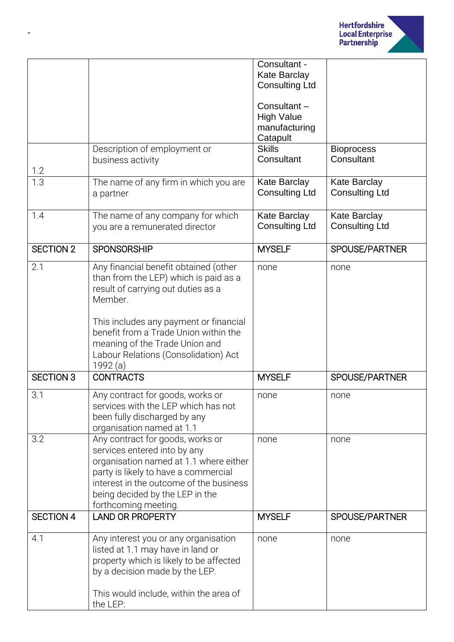

|                  |                                                                            | Consultant -                                 |                                       |
|------------------|----------------------------------------------------------------------------|----------------------------------------------|---------------------------------------|
|                  |                                                                            | <b>Kate Barclay</b><br><b>Consulting Ltd</b> |                                       |
|                  |                                                                            |                                              |                                       |
|                  |                                                                            | Consultant-                                  |                                       |
|                  |                                                                            | <b>High Value</b>                            |                                       |
|                  |                                                                            | manufacturing                                |                                       |
|                  | Description of employment or                                               | Catapult<br><b>Skills</b>                    | <b>Bioprocess</b>                     |
|                  | business activity                                                          | Consultant                                   | Consultant                            |
| 1.2              |                                                                            |                                              |                                       |
| 1.3              | The name of any firm in which you are                                      | Kate Barclay                                 | Kate Barclay                          |
|                  | a partner                                                                  | <b>Consulting Ltd</b>                        | <b>Consulting Ltd</b>                 |
|                  |                                                                            |                                              |                                       |
| 1.4              | The name of any company for which<br>you are a remunerated director        | <b>Kate Barclay</b><br><b>Consulting Ltd</b> | Kate Barclay<br><b>Consulting Ltd</b> |
|                  |                                                                            |                                              |                                       |
| <b>SECTION 2</b> | <b>SPONSORSHIP</b>                                                         | <b>MYSELF</b>                                | SPOUSE/PARTNER                        |
| 2.1              | Any financial benefit obtained (other                                      | none                                         | none                                  |
|                  | than from the LEP) which is paid as a                                      |                                              |                                       |
|                  | result of carrying out duties as a<br>Member.                              |                                              |                                       |
|                  |                                                                            |                                              |                                       |
|                  | This includes any payment or financial                                     |                                              |                                       |
|                  | benefit from a Trade Union within the                                      |                                              |                                       |
|                  | meaning of the Trade Union and                                             |                                              |                                       |
|                  | Labour Relations (Consolidation) Act                                       |                                              |                                       |
| <b>SECTION 3</b> | 1992 (a)<br><b>CONTRACTS</b>                                               | <b>MYSELF</b>                                | SPOUSE/PARTNER                        |
|                  |                                                                            |                                              |                                       |
| 3.1              | Any contract for goods, works or                                           | none                                         | none                                  |
|                  | services with the LEP which has not<br>been fully discharged by any        |                                              |                                       |
|                  | organisation named at 1.1                                                  |                                              |                                       |
| 3.2              | Any contract for goods, works or                                           | none                                         | none                                  |
|                  | services entered into by any                                               |                                              |                                       |
|                  | organisation named at 1.1 where either                                     |                                              |                                       |
|                  | party is likely to have a commercial                                       |                                              |                                       |
|                  | interest in the outcome of the business<br>being decided by the LEP in the |                                              |                                       |
|                  | forthcoming meeting.                                                       |                                              |                                       |
| <b>SECTION 4</b> | <b>LAND OR PROPERTY</b>                                                    | <b>MYSELF</b>                                | SPOUSE/PARTNER                        |
|                  |                                                                            |                                              |                                       |
| 4.1              | Any interest you or any organisation                                       | none                                         | none                                  |
|                  | listed at 1.1 may have in land or                                          |                                              |                                       |
|                  | property which is likely to be affected<br>by a decision made by the LEP.  |                                              |                                       |
|                  |                                                                            |                                              |                                       |
|                  | This would include, within the area of                                     |                                              |                                       |
|                  | the LEP:                                                                   |                                              |                                       |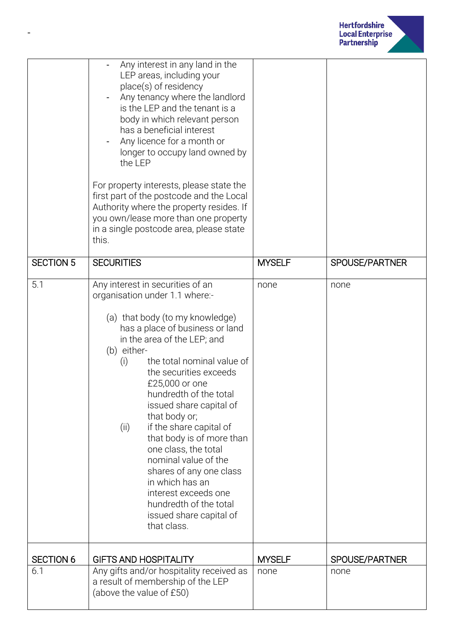

|                  | Any interest in any land in the<br>LEP areas, including your<br>place(s) of residency<br>Any tenancy where the landlord<br>is the LEP and the tenant is a<br>body in which relevant person<br>has a beneficial interest<br>Any licence for a month or<br>longer to occupy land owned by<br>the LEP<br>For property interests, please state the<br>first part of the postcode and the Local<br>Authority where the property resides. If<br>you own/lease more than one property<br>in a single postcode area, please state<br>this.                                                                      |               |                |
|------------------|---------------------------------------------------------------------------------------------------------------------------------------------------------------------------------------------------------------------------------------------------------------------------------------------------------------------------------------------------------------------------------------------------------------------------------------------------------------------------------------------------------------------------------------------------------------------------------------------------------|---------------|----------------|
| <b>SECTION 5</b> | <b>SECURITIES</b>                                                                                                                                                                                                                                                                                                                                                                                                                                                                                                                                                                                       | <b>MYSELF</b> | SPOUSE/PARTNER |
| 5.1              | Any interest in securities of an<br>organisation under 1.1 where:-<br>(a) that body (to my knowledge)<br>has a place of business or land<br>in the area of the LEP; and<br>(b) either-<br>the total nominal value of<br>(i)<br>the securities exceeds<br>£25,000 or one<br>hundredth of the total<br>issued share capital of<br>that body or;<br>if the share capital of<br>(ii)<br>that body is of more than<br>one class, the total<br>nominal value of the<br>shares of any one class<br>in which has an<br>interest exceeds one<br>hundredth of the total<br>issued share capital of<br>that class. | none          | none           |
| <b>SECTION 6</b> | <b>GIFTS AND HOSPITALITY</b>                                                                                                                                                                                                                                                                                                                                                                                                                                                                                                                                                                            | <b>MYSELF</b> | SPOUSE/PARTNER |
| 6.1              | Any gifts and/or hospitality received as<br>a result of membership of the LEP<br>(above the value of £50)                                                                                                                                                                                                                                                                                                                                                                                                                                                                                               | none          | none           |

-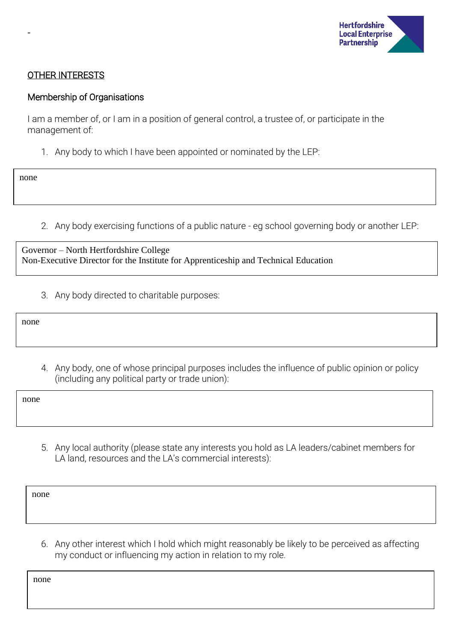

### OTHER INTERESTS

#### Membership of Organisations

I am a member of, or I am in a position of general control, a trustee of, or participate in the management of:

1. Any body to which I have been appointed or nominated by the LEP:

none

-

2. Any body exercising functions of a public nature - eg school governing body or another LEP:

Governor – North Hertfordshire College Non-Executive Director for the Institute for Apprenticeship and Technical Education

3. Any body directed to charitable purposes:

none

4. Any body, one of whose principal purposes includes the influence of public opinion or policy (including any political party or trade union):

none

5. Any local authority (please state any interests you hold as LA leaders/cabinet members for LA land, resources and the LA's commercial interests):

none

6. Any other interest which I hold which might reasonably be likely to be perceived as affecting my conduct or influencing my action in relation to my role.

none